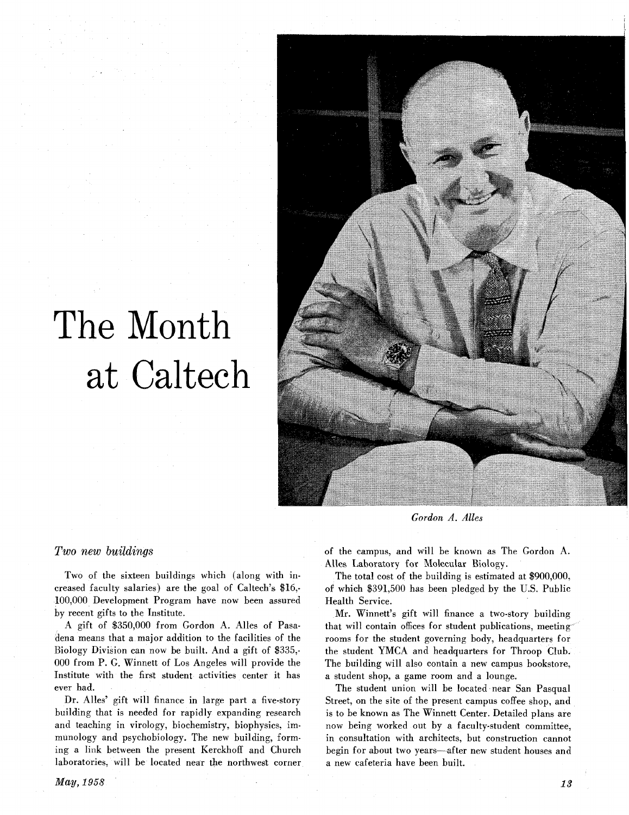# The Month at Calteeh



*Gordon* **A.** *Alles* 

## **Two** new *buildings*

Two of the sixteen buildings which (along with increased faculty salaries) are the goal of Caltech's \$16,- 100,000 Development Program have now been assured by recent gifts to the Institute.

A gift of \$350,000 from Gordon A. Alles of Pasadena means that a major addition to the facilities of the Biology Division can now be built. And a gift of \$335,-000 from P. G. Winnett of Los Angeles will provide the Institute with the first student activities center it has ever had.

Dr. Alles' gift will finance in large part a five-story building that is needed for rapidly expanding research and teaching in virology, biochemistry, biophysics, immunology and psychobiology. The new building, forming a link between the present Kerckhoff and Church laboratories, will be located near the northwest corner

of the campus, and will be known as The Gordon A. Alles Laboratory for Molecular Biology.

The total cost of the building is estimated at  $$900,000$ , of which \$391,500 has been pledged by the U.S. Public Health Service.

Mr. Winnett's gift will finance a two-story building that will contain offices for student publications, meeting rooms for the student governing body, headquarters for the student YMCA and headquarters for Throop Club. The building will also contain a new campus bookstore, a student shop, a game room and a lounge.

The student union will be located near San Pasqual Street, on the site of the present campus coffee shop, and is to be known as The Winnett Center. Detailed plans are now being worked out by a faculty-student committee, in consultation with architects, but construction cannot begin for about two years—after new student houses and a new cafeteria have been built.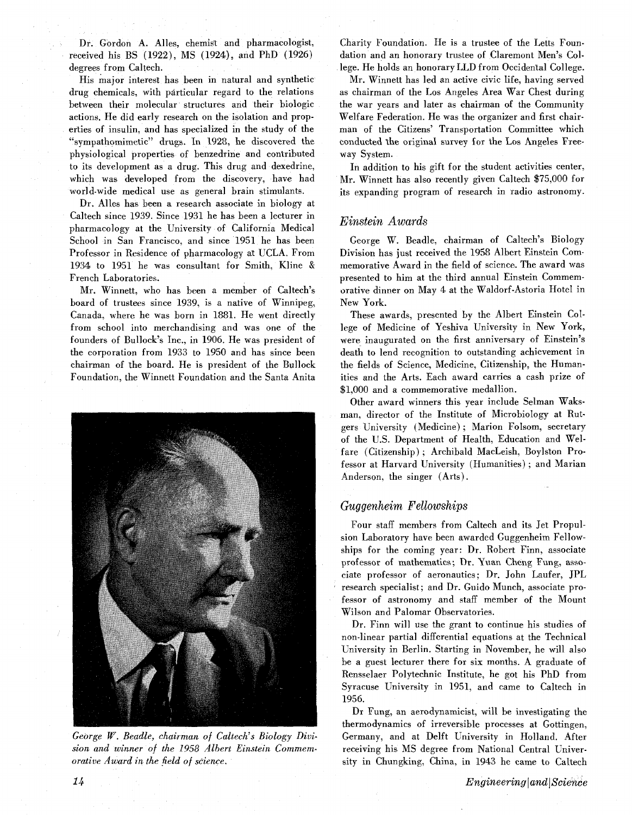Dr. Gordon A. Alles, chemist and pharmacologist, received his BS (1922), MS (1924), and PhD (1926) degrees from Caltech.

His major interest has been in natural and synthetic drug chemicals, with particular regard to the relations between their molecular structures and their biologic actions. He did early research on the isolation and properties of insulin, and has specialized in the study of the "sympathomimetic" drugs. In 1928, he discovered the physiological properties of benzedrine and contributed to its development as a drug. This drug and dexedrine, which was developed from the discovery, have had world-wide medical use as general brain stimulants.

Dr. Alles has been a research associate in biology at Caltech since 1939. Since 1931 he has been a lecturer in pharmacology at the University of California Medical School in San Francisco, and since 1951 he has been Professor in Residence of pharmacology at UCLA. From 1934 to 1951 he was consultant for Smith, Kline & French Laboratories.

Mr. Winnett, who has been a member of Caltech's board of trustees since 1939, is a native of Winnipeg, Canada, where he was born in 1881. He went directly from school into merchandising and was one of the founders of Bullock's Inc., in 1906. He was president of the corporation from 1933 to 1950 and has since been chairman of the board. He is president of the Bullock Foundation, the Winnett Foundation and the Santa Anita



*George W. Beadle, chairman of Caltech's Biology Division and winner of the 1958 Albert Einstein Commem-* receiving his MS degree from National Central Univer*orative Award in the field of science.* **sity in Chungking, China, in 1943 he came to Caltech** 

Charity Foundation. He is a trustee of the Letts Foundation and an honorary trustee of Claremont Men's College. He holds an honorary LLD from Occidental College.

Mr. Winnett has led an active civic life, having served as chairman of the Los Angeles Area War Chest during the war years and later as chairman of the Community Welfare Federation. He was the organizer and first chairman of the Citizens' Transportation Committee which conducted the original survey for the Los Angeles Freeway System.

In addition to his gift for the student activities center, Mr. Winnett has also recently given Caltech \$75,000 for its expanding program of research in radio astronomy.

## *Einstein Awards*

George W. Beadle, chairman of Caltech's Biology Division has just received the 1958 Albert Einstein Commemorative Award in the field of science. The award was presented to him at the third annual Einstein Commemorative dinner on May 4 at the Waldorf-Astoria Hotel in New York.

These awards, presented by the Albert Einstein College of Medicine of Yeshiva University in New York, were inaugurated on the first anniversary of Einstein's death to lend recognition to outstanding achievement in the fields of Science, Medicine, Citizenship, the Humanities and the Arts. Each award carries a cash prize of \$1,000 and a commemorative medallion.

Other award winners this year include Selman Waksman, director of the Institute of Microbiology at Rutgers University (Medicine) ; Marion Folsom, secretary of the U.S. Department of Health, Education and Welfare (Citizenship) ; Archibald MacLeish, Boylston Professor at Harvard University (Humanities) ; and Marian Anderson, the singer (Arts).

# *Guggenheim Fellowships*

Four staff members from Caltech and its Jet Propulsion Laboratory have been awarded Guggenheim Fellowships for the coming year: Dr. Robert Finn, associate professor of mathematics; Dr. Yuan Cheng Fung, associate professor of aeronautics; Dr. John Laufer, JPL research specialist; and Dr. Guido Munch, associate professor of astronomy and staff member of the Mount Wilson and Palomar Observatories.

Dr. Finn will use the grant to continue his studies of non-linear partial differential equations at the Technical University in Berlin. Starting in November, he will also be a guest lecturer there for six months. A graduate of Rensselaer Polytechnic Institute, he got his PhD from Syracuse University in 1951, and came to Caltech in 1956.

Dr Fung, an aerodynamicist, will be investigating the thermodynamics of irreversible processes at Gottingen, Germany, and at Delft University in Holland. After